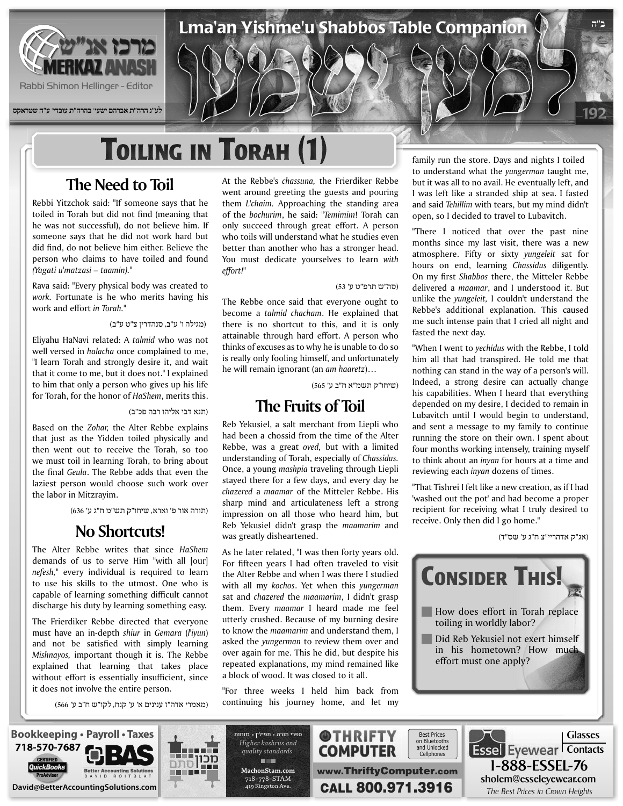

**לע"נ הרה"ת אברהם ישעי' בהרה"ת עובדי' ע"ה שטראקס**

# **TOILING IN TORAH (1)**

## **The Need to Toil**

Rebbi Yitzchok said: "If someone says that he toiled in Torah but did not find (meaning that he was not successful), do not believe him. If someone says that he did not work hard but did find, do not believe him either. Believe the person who claims to have toiled and found "*.(taamin – matzasi'u Yagati(*

Rava said: "Every physical body was created to work. Fortunate is he who merits having his work and effort in Torah."

#### (מגילה ו' ע"ב, סנהדרין צ"ט ע"ב)

Eliyahu HaNavi related: A talmid who was not well versed in *halacha* once complained to me, "I learn Torah and strongly desire it, and wait that it come to me, but it does not." I explained to him that only a person who gives up his life for Torah, for the honor of *HaShem*, merits this.

(תנא דבי אליהו רבה פכ"ב)

Based on the *Zohar*, the Alter Rebbe explains that just as the Yidden toiled physically and then went out to receive the Torah, so too we must toil in learning Torah, to bring about the final *Geula*. The Rebbe adds that even the laziest person would choose such work over the labor in Mitzravim.

(תורה אור פ' וארא, שיחו"ק תש"מ ח"ג ע' 636)

#### **No Shortcuts!**

The Alter Rebbe writes that since HaShem demands of us to serve Him "with all [our] nefesh," every individual is required to learn to use his skills to the utmost. One who is capable of learning something difficult cannot discharge his duty by learning something easy.

The Frierdiker Rebbe directed that everyone must have an in-depth *shiur* in *Gemara* (*l'iyun*) and not be satisfied with simply learning Mishnayos, important *though* it is. The Rebbe explained that learning that takes place without effort is essentially insufficient, since it does not involve the entire person.

(מאמרי אדה"ז ענינים א' ע' קנח, לקו"ש ח"ב ע' 566)

At the Rebbe's chassuna, the Frierdiker Rebbe went around greeting the guests and pouring them *L'chaim*. Approaching the standing area of the bochurim, he said: "Temimim! Torah can only succeed through great effort. A person who toils will understand what he studies even better than another who has a stronger head. You must dedicate yourselves to learn with *"!effort*

#### (סה"ש תרפ"ט ע' 53)

Lma'an Yishme'u Shabbos Table Companion

The Rebbe once said that everyone ought to become a *talmid chacham*. He explained that there is no shortcut to this, and it is only attainable through hard effort. A person who thinks of excuses as to why he is unable to do so is really only fooling himself, and unfortunately he will remain ignorant (an am haaretz)...

(שיחו"ק תשמ"א ח"ב ע' 565)

#### **The Fruits of Toil**

Reb Yekusiel, a salt merchant from Liepli who had been a chossid from the time of the Alter Rebbe, was a great *oved*, but with a limited *understanding of Torah, especially of Chassidus.* Once, a young *mashpia* traveling through Liepli stayed there for a few days, and every day he chazered a maamar of the Mitteler Rebbe. His sharp mind and articulateness left a strong impression on all those who heard him, but Reb Yekusiel didn't grasp the *maamarim* and was greatly disheartened.

As he later related, "I was then forty years old. For fifteen years I had often traveled to visit the Alter Rebbe and when I was there I studied with all my kochos. Yet when this *yungerman* sat and *chazered* the *maamarim*. I didn't grasp them. Every *maamar* I heard made me feel utterly crushed. Because of my burning desire to know the *maamarim* and understand them, I asked the *yungerman* to review them over and over again for me. This he did, but despite his repeated explanations, my mind remained like a block of wood. It was closed to it all.

"For three weeks I held him back from continuing his journey home, and let my family run the store. Days and nights I toiled to understand what the *yungerman* taught me, but it was all to no avail. He eventually left, and I was left like a stranded ship at sea. I fasted and said Tehillim with *tears*, but my mind didn't open, so I decided to travel to Lubavitch.

192

**ב"ה**

"There I noticed that over the past nine months since my last visit, there was a new atmosphere. Fifty or sixty *yungeleit* sat for hours on end, learning Chassidus diligently. On my first Shabbos there, the Mitteler Rebbe delivered a *maamar*, and I understood it. But unlike the *yungeleit*, I couldn't understand the Rebbe's additional explanation. This caused me such intense pain that I cried all night and fasted the next day.

"When I went to *yechidus* with the Rebbe, I told him all that had transpired. He told me that nothing can stand in the way of a person's will. Indeed, a strong desire can actually change his capabilities. When I heard that everything depended on my desire, I decided to remain in Lubavitch until I would begin to understand, and sent a message to my family to continue running the store on their own. I spent about four months working intensely, training myself to think about an *inyan* for hours at a time and reviewing each *inyan* dozens of times.

"That Tishrei I felt like a new creation, as if I had 'washed out the pot' and had become a proper recipient for receiving what I truly desired to receive. Only then did I go home."

(אג"ק אדהריי"צ ח"ג ע' שס"ד)